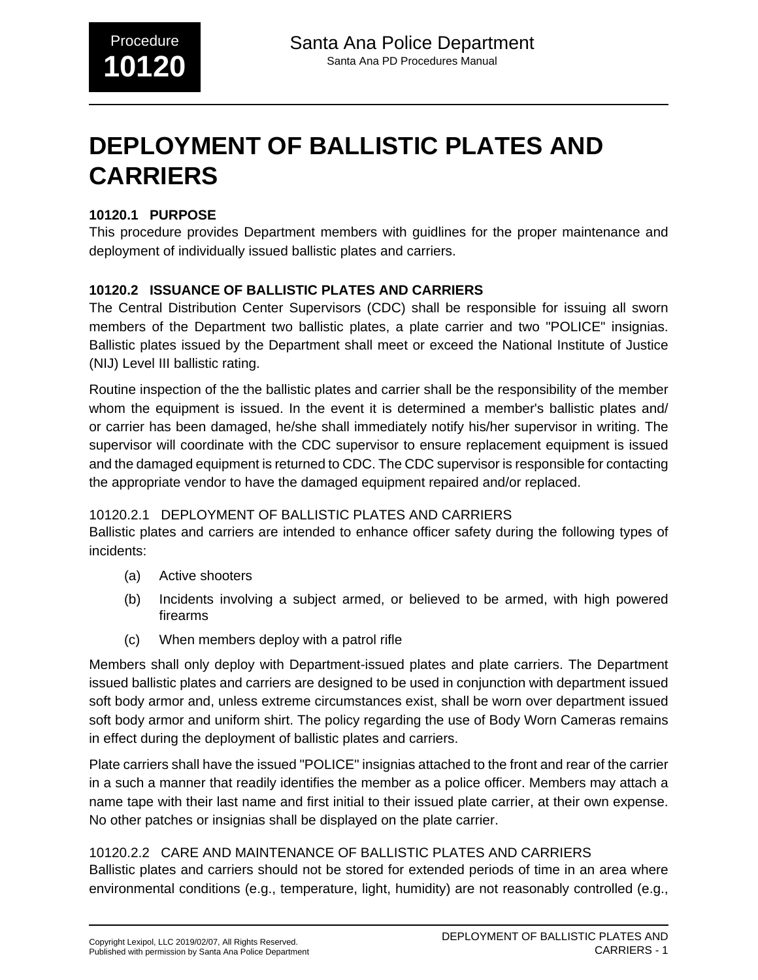# **DEPLOYMENT OF BALLISTIC PLATES AND CARRIERS**

#### **10120.1 PURPOSE**

This procedure provides Department members with guidlines for the proper maintenance and deployment of individually issued ballistic plates and carriers.

## **10120.2 ISSUANCE OF BALLISTIC PLATES AND CARRIERS**

The Central Distribution Center Supervisors (CDC) shall be responsible for issuing all sworn members of the Department two ballistic plates, a plate carrier and two "POLICE" insignias. Ballistic plates issued by the Department shall meet or exceed the National Institute of Justice (NIJ) Level III ballistic rating.

Routine inspection of the the ballistic plates and carrier shall be the responsibility of the member whom the equipment is issued. In the event it is determined a member's ballistic plates and/ or carrier has been damaged, he/she shall immediately notify his/her supervisor in writing. The supervisor will coordinate with the CDC supervisor to ensure replacement equipment is issued and the damaged equipment is returned to CDC. The CDC supervisor is responsible for contacting the appropriate vendor to have the damaged equipment repaired and/or replaced.

#### 10120.2.1 DEPLOYMENT OF BALLISTIC PLATES AND CARRIERS

Ballistic plates and carriers are intended to enhance officer safety during the following types of incidents:

- (a) Active shooters
- (b) Incidents involving a subject armed, or believed to be armed, with high powered firearms
- (c) When members deploy with a patrol rifle

Members shall only deploy with Department-issued plates and plate carriers. The Department issued ballistic plates and carriers are designed to be used in conjunction with department issued soft body armor and, unless extreme circumstances exist, shall be worn over department issued soft body armor and uniform shirt. The policy regarding the use of Body Worn Cameras remains in effect during the deployment of ballistic plates and carriers.

Plate carriers shall have the issued "POLICE" insignias attached to the front and rear of the carrier in a such a manner that readily identifies the member as a police officer. Members may attach a name tape with their last name and first initial to their issued plate carrier, at their own expense. No other patches or insignias shall be displayed on the plate carrier.

## 10120.2.2 CARE AND MAINTENANCE OF BALLISTIC PLATES AND CARRIERS

Ballistic plates and carriers should not be stored for extended periods of time in an area where environmental conditions (e.g., temperature, light, humidity) are not reasonably controlled (e.g.,